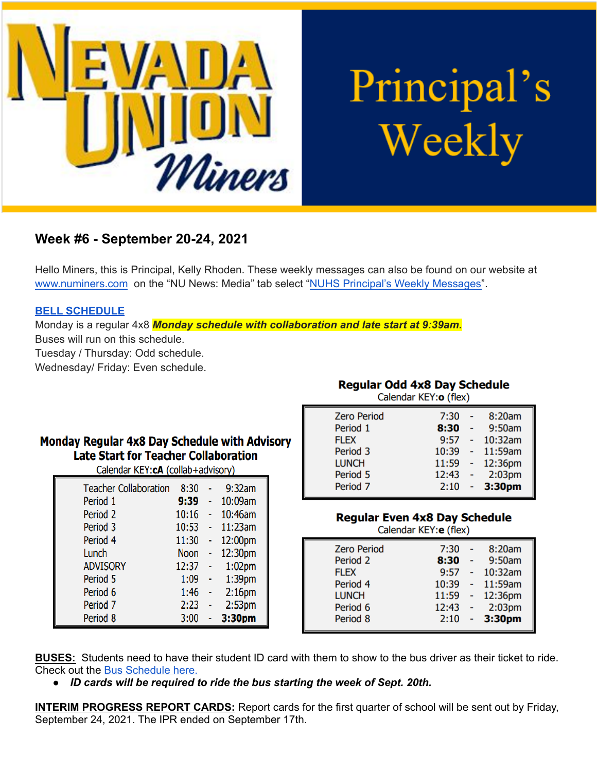

# Principal's Weekly

# **Week #6 - September 20-24, 2021**

Hello Miners, this is Principal, Kelly Rhoden. These weekly messages can also be found on our website at [www.numiners.com](http://www.numiners.com) on the "NU News: Media" tab select "NUHS Principal's Weekly [Messages"](https://nevadaunion.njuhsd.com/NU-NewsMedia/NUHS-Principals-Weekly-Messages/index.html).

#### **BELL [SCHEDULE](https://nevadaunion.njuhsd.com/documents/Bell%20Schedules/Bell-Schedules.pdf)**

Monday is a regular 4x8 *Monday schedule with collaboration and late start at 9:39am.* Buses will run on this schedule.

Tuesday / Thursday: Odd schedule.

Wednesday/ Friday: Even schedule.

# Monday Regular 4x8 Day Schedule with Advisory **Late Start for Teacher Collaboration**

Calendar KEY:cA (collab+advisory)

| <b>Teacher Collaboration</b> | 8:30        | 9:32am             |
|------------------------------|-------------|--------------------|
| Period 1                     | 9:39        | 10:09am            |
| Period <sub>2</sub>          | 10:16       | 10:46am            |
| Period 3                     | 10:53       | 11:23am            |
| Period 4                     | 11:30       | 12:00pm            |
| Lunch                        | <b>Noon</b> | 12:30pm            |
| <b>ADVISORY</b>              | 12:37       | $1:02$ pm          |
| Period 5                     | 1:09        | 1:39 <sub>pm</sub> |
| Period 6                     | 1:46        | 2:16 <sub>pm</sub> |
| Period <sub>7</sub>          | 2:23        | 2:53 <sub>pm</sub> |
| Period 8                     | 3:00        | 3:30pm             |

**Regular Odd 4x8 Day Schedule**  $C$ alandar  $VEV$ :  $\sigma$   $(Hov)$ 

| Calcillual INLIVE (TICA) |       |        |                    |  |  |
|--------------------------|-------|--------|--------------------|--|--|
| <b>Zero Period</b>       | 7:30  |        | 8:20am             |  |  |
| Period 1                 | 8:30  | $\sim$ | 9:50am             |  |  |
| <b>FLEX</b>              | 9:57  |        | 10:32am            |  |  |
| Period 3                 | 10:39 |        | 11:59am            |  |  |
| <b>LUNCH</b>             | 11:59 |        | 12:36pm            |  |  |
| Period 5                 | 12:43 |        | 2:03 <sub>pm</sub> |  |  |
| Period <sub>7</sub>      | 2:10  |        | 3:30 <sub>pm</sub> |  |  |

**Regular Even 4x8 Day Schedule** 

Calendar KEY: e (flex)

| <b>Zero Period</b> | 7:30  | 8:20am             |
|--------------------|-------|--------------------|
| Period 2           | 8:30  | 9:50am             |
| <b>FLEX</b>        | 9:57  | 10:32am            |
| Period 4           | 10:39 | 11:59am            |
| <b>LUNCH</b>       | 11:59 | 12:36pm            |
| Period 6           | 12:43 | 2:03 <sub>pm</sub> |
| Period 8           | 2:10  | $-3:30pm$          |
|                    |       |                    |

**BUSES:** Students need to have their student ID card with them to show to the bus driver as their ticket to ride. Check out the Bus [Schedule](https://www.njuhsd.com/documents/NUHS-2021-2022-MASTER-SCHEDULE-8-20-21.pdf) here.

*● ID cards will be required to ride the bus starting the week of Sept. 20th.*

**INTERIM PROGRESS REPORT CARDS:** Report cards for the first quarter of school will be sent out by Friday, September 24, 2021. The IPR ended on September 17th.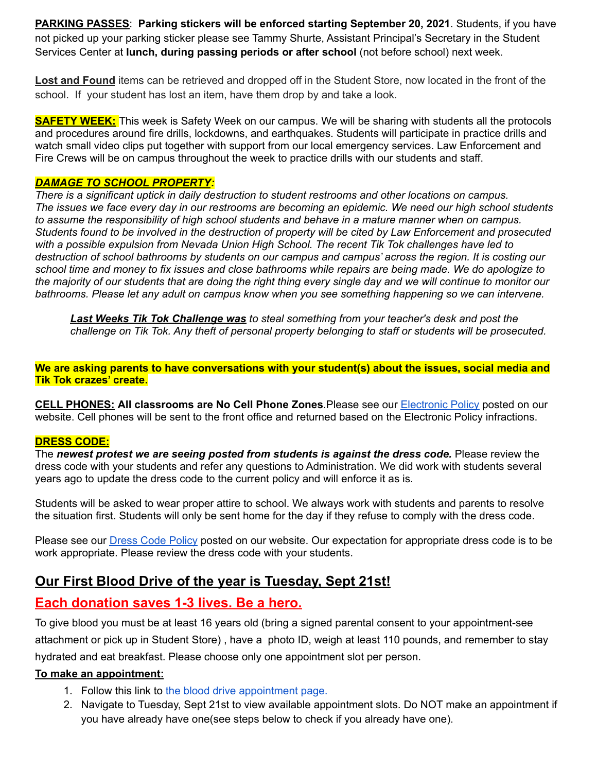**PARKING PASSES**: **Parking stickers will be enforced starting September 20, 2021**. Students, if you have not picked up your parking sticker please see Tammy Shurte, Assistant Principal's Secretary in the Student Services Center at **lunch, during passing periods or after school** (not before school) next week.

**Lost and Found** items can be retrieved and dropped off in the Student Store, now located in the front of the school. If your student has lost an item, have them drop by and take a look.

**SAFETY WEEK:** This week is Safety Week on our campus. We will be sharing with students all the protocols and procedures around fire drills, lockdowns, and earthquakes. Students will participate in practice drills and watch small video clips put together with support from our local emergency services. Law Enforcement and Fire Crews will be on campus throughout the week to practice drills with our students and staff.

#### *DAMAGE TO SCHOOL PROPERTY:*

*There is a significant uptick in daily destruction to student restrooms and other locations on campus.* The issues we face every day in our restrooms are becoming an epidemic. We need our high school students *to assume the responsibility of high school students and behave in a mature manner when on campus.* Students found to be involved in the destruction of property will be cited by Law Enforcement and prosecuted *with a possible expulsion from Nevada Union High School. The recent Tik Tok challenges have led to* destruction of school bathrooms by students on our campus and campus' across the region. It is costing our school time and money to fix issues and close bathrooms while repairs are being made. We do apologize to the majority of our students that are doing the right thing every single day and we will continue to monitor our *bathrooms. Please let any adult on campus know when you see something happening so we can intervene.*

*Last Weeks Tik Tok Challenge was to steal something from your teacher's desk and post the challenge on Tik Tok. Any theft of personal property belonging to staff or students will be prosecuted.*

**We are asking parents to have conversations with your student(s) about the issues, social media and Tik Tok crazes' create.**

**CELL PHONES: All classrooms are No Cell Phone Zones**.Please see our [Electronic](https://nevadaunion.njuhsd.com/documents/Nevada%20Union%20HS/Information/Annual%20Forms/19.20%20Electronics%20Policy.pdf) Policy posted on our website. Cell phones will be sent to the front office and returned based on the Electronic Policy infractions.

#### **DRESS CODE:**

The *newest protest we are seeing posted from students is against the dress code.* Please review the dress code with your students and refer any questions to Administration. We did work with students several years ago to update the dress code to the current policy and will enforce it as is.

Students will be asked to wear proper attire to school. We always work with students and parents to resolve the situation first. Students will only be sent home for the day if they refuse to comply with the dress code.

Please see our Dress Code [Policy](https://nevadaunion.njuhsd.com/documents/Nevada%20Union%20HS/Information/Annual%20Forms/19.20.DRESS.CODE.FULL.pdf) posted on our website. Our expectation for appropriate dress code is to be work appropriate. Please review the dress code with your students.

# **Our First Blood Drive of the year is Tuesday, Sept 21st!**

# **Each donation saves 1-3 lives. Be a hero.**

To give blood you must be at least 16 years old (bring a signed parental consent to your appointment-see attachment or pick up in Student Store) , have a photo ID, weigh at least 110 pounds, and remember to stay hydrated and eat breakfast. Please choose only one appointment slot per person.

#### **To make an appointment:**

- 1. Follow this link to the blood drive [appointment](https://calendar.google.com/calendar/u/0/selfsched?sstoken=UVB0Um9qSzBWeVVrfGRlZmF1bHR8OTYwYTRkYjNmYTZmYTljNWQ1ZWIwNDQ1ZTg5NGI1MmY) page.
- 2. Navigate to Tuesday, Sept 21st to view available appointment slots. Do NOT make an appointment if you have already have one(see steps below to check if you already have one).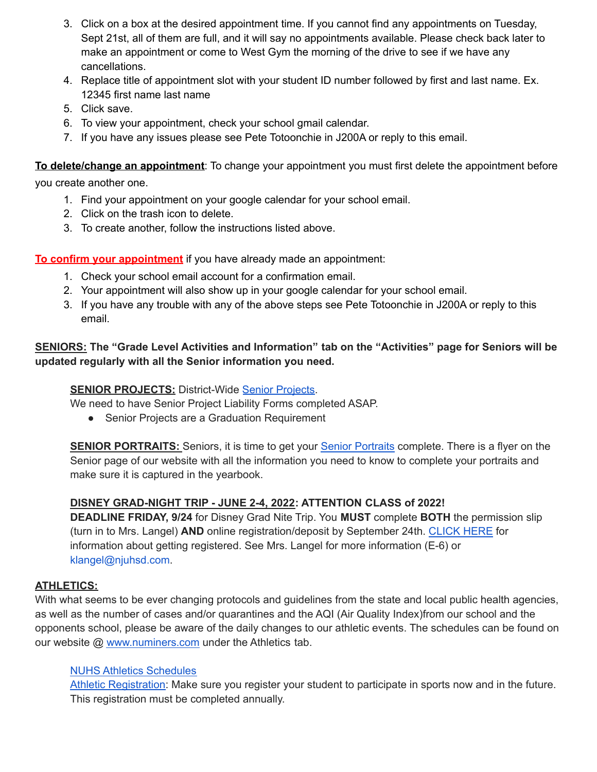- 3. Click on a box at the desired appointment time. If you cannot find any appointments on Tuesday, Sept 21st, all of them are full, and it will say no appointments available. Please check back later to make an appointment or come to West Gym the morning of the drive to see if we have any cancellations.
- 4. Replace title of appointment slot with your student ID number followed by first and last name. Ex. 12345 first name last name
- 5. Click save.
- 6. To view your appointment, check your school gmail calendar.
- 7. If you have any issues please see Pete Totoonchie in J200A or reply to this email.

**To delete/change an appointment**: To change your appointment you must first delete the appointment before

you create another one.

- 1. Find your appointment on your google calendar for your school email.
- 2. Click on the trash icon to delete.
- 3. To create another, follow the instructions listed above.

**To confirm your appointment** if you have already made an appointment:

- 1. Check your school email account for a confirmation email.
- 2. Your appointment will also show up in your google calendar for your school email.
- 3. If you have any trouble with any of the above steps see Pete Totoonchie in J200A or reply to this email.

## **SENIORS: The "Grade Level Activities and Information" tab on the "Activities" page for Seniors will be updated regularly with all the Senior information you need.**

# **SENIOR PROJECTS: District-Wide Senior [Projects](https://nevadaunion.njuhsd.com/Information/Senior-Project/index.html).**

We need to have Senior Project Liability Forms completed ASAP.

● Senior Projects are a Graduation Requirement

**SENIOR PORTRAITS:** Seniors, it is time to get your Senior [Portraits](https://nevadaunion.njuhsd.com/Activities/Grade-Level-Activities-and-Information/index.html) complete. There is a flyer on the Senior page of our website with all the information you need to know to complete your portraits and make sure it is captured in the yearbook.

## **DISNEY GRAD-NIGHT TRIP - JUNE 2-4, 2022: ATTENTION CLASS of 2022!**

**DEADLINE FRIDAY, 9/24** for Disney Grad Nite Trip. You **MUST** complete **BOTH** the permission slip (turn in to Mrs. Langel) **AND** online registration/deposit by September 24th. [CLICK](https://drive.google.com/file/d/14XUb8oTyISZNzK9xS9seSHEJrmNY6hUF/view) HERE for information about getting registered. See Mrs. Langel for more information (E-6) or klangel@njuhsd.com.

# **ATHLETICS:**

With what seems to be ever changing protocols and guidelines from the state and local public health agencies, as well as the number of cases and/or quarantines and the AQI (Air Quality Index)from our school and the opponents school, please be aware of the daily changes to our athletic events. The schedules can be found on our website @ [www.numiners.com](http://www.numiners.com) under the Athletics tab.

## NUHS Athletics [Schedules](https://nevadaunion.njuhsd.com/Athletics/Sports-Calendar--Schedules/index.html)

Athletic [Registration:](https://nevadaunion.njuhsd.com/Athletics/How-to-Register-For-a-Sport/index.html) Make sure you register your student to participate in sports now and in the future. This registration must be completed annually.